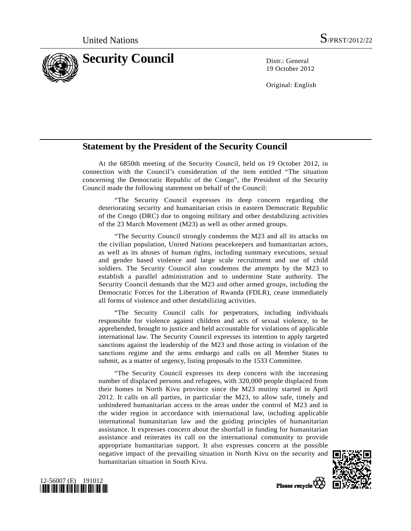

19 October 2012

Original: English

## **Statement by the President of the Security Council**

 At the 6850th meeting of the Security Council, held on 19 October 2012, in connection with the Council's consideration of the item entitled "The situation concerning the Democratic Republic of the Congo", the President of the Security Council made the following statement on behalf of the Council:

 "The Security Council expresses its deep concern regarding the deteriorating security and humanitarian crisis in eastern Democratic Republic of the Congo (DRC) due to ongoing military and other destabilizing activities of the 23 March Movement (M23) as well as other armed groups.

 "The Security Council strongly condemns the M23 and all its attacks on the civilian population, United Nations peacekeepers and humanitarian actors, as well as its abuses of human rights, including summary executions, sexual and gender based violence and large scale recruitment and use of child soldiers. The Security Council also condemns the attempts by the M23 to establish a parallel administration and to undermine State authority. The Security Council demands that the M23 and other armed groups, including the Democratic Forces for the Liberation of Rwanda (FDLR), cease immediately all forms of violence and other destabilizing activities.

 "The Security Council calls for perpetrators, including individuals responsible for violence against children and acts of sexual violence, to be apprehended, brought to justice and held accountable for violations of applicable international law. The Security Council expresses its intention to apply targeted sanctions against the leadership of the M23 and those acting in violation of the sanctions regime and the arms embargo and calls on all Member States to submit, as a matter of urgency, listing proposals to the 1533 Committee.

 "The Security Council expresses its deep concern with the increasing number of displaced persons and refugees, with 320,000 people displaced from their homes in North Kivu province since the M23 mutiny started in April 2012. It calls on all parties, in particular the M23, to allow safe, timely and unhindered humanitarian access to the areas under the control of M23 and in the wider region in accordance with international law, including applicable international humanitarian law and the guiding principles of humanitarian assistance. It expresses concern about the shortfall in funding for humanitarian assistance and reiterates its call on the international community to provide appropriate humanitarian support. It also expresses concern at the possible negative impact of the prevailing situation in North Kivu on the security and humanitarian situation in South Kivu.





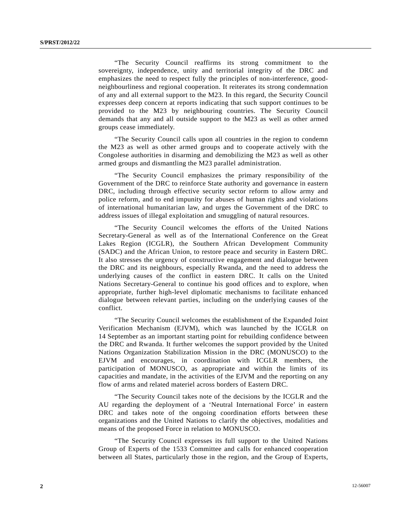"The Security Council reaffirms its strong commitment to the sovereignty, independence, unity and territorial integrity of the DRC and emphasizes the need to respect fully the principles of non-interference, goodneighbourliness and regional cooperation. It reiterates its strong condemnation of any and all external support to the M23. In this regard, the Security Council expresses deep concern at reports indicating that such support continues to be provided to the M23 by neighbouring countries. The Security Council demands that any and all outside support to the M23 as well as other armed groups cease immediately.

 "The Security Council calls upon all countries in the region to condemn the M23 as well as other armed groups and to cooperate actively with the Congolese authorities in disarming and demobilizing the M23 as well as other armed groups and dismantling the M23 parallel administration.

 "The Security Council emphasizes the primary responsibility of the Government of the DRC to reinforce State authority and governance in eastern DRC, including through effective security sector reform to allow army and police reform, and to end impunity for abuses of human rights and violations of international humanitarian law, and urges the Government of the DRC to address issues of illegal exploitation and smuggling of natural resources.

 "The Security Council welcomes the efforts of the United Nations Secretary-General as well as of the International Conference on the Great Lakes Region (ICGLR), the Southern African Development Community (SADC) and the African Union, to restore peace and security in Eastern DRC. It also stresses the urgency of constructive engagement and dialogue between the DRC and its neighbours, especially Rwanda, and the need to address the underlying causes of the conflict in eastern DRC. It calls on the United Nations Secretary-General to continue his good offices and to explore, when appropriate, further high-level diplomatic mechanisms to facilitate enhanced dialogue between relevant parties, including on the underlying causes of the conflict.

 "The Security Council welcomes the establishment of the Expanded Joint Verification Mechanism (EJVM), which was launched by the ICGLR on 14 September as an important starting point for rebuilding confidence between the DRC and Rwanda. It further welcomes the support provided by the United Nations Organization Stabilization Mission in the DRC (MONUSCO) to the EJVM and encourages, in coordination with ICGLR members, the participation of MONUSCO, as appropriate and within the limits of its capacities and mandate, in the activities of the EJVM and the reporting on any flow of arms and related materiel across borders of Eastern DRC.

 "The Security Council takes note of the decisions by the ICGLR and the AU regarding the deployment of a 'Neutral International Force' in eastern DRC and takes note of the ongoing coordination efforts between these organizations and the United Nations to clarify the objectives, modalities and means of the proposed Force in relation to MONUSCO.

 "The Security Council expresses its full support to the United Nations Group of Experts of the 1533 Committee and calls for enhanced cooperation between all States, particularly those in the region, and the Group of Experts,